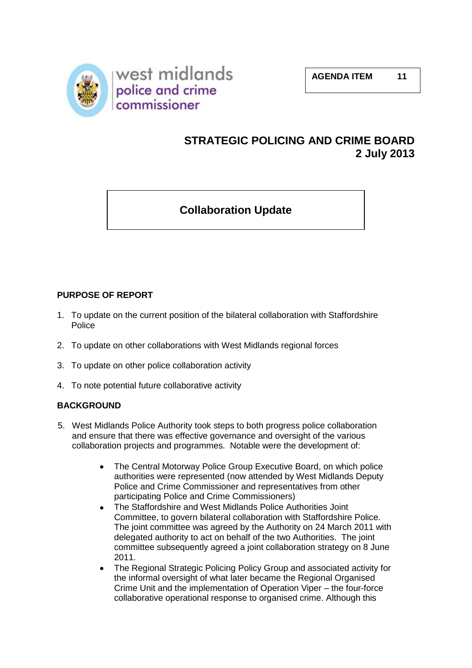

# **STRATEGIC POLICING AND CRIME BOARD 2 July 2013**

# **Collaboration Update**

## **PURPOSE OF REPORT**

- 1. To update on the current position of the bilateral collaboration with Staffordshire Police
- 2. To update on other collaborations with West Midlands regional forces
- 3. To update on other police collaboration activity
- 4. To note potential future collaborative activity

## **BACKGROUND**

- 5. West Midlands Police Authority took steps to both progress police collaboration and ensure that there was effective governance and oversight of the various collaboration projects and programmes. Notable were the development of:
	- The Central Motorway Police Group Executive Board, on which police  $\bullet$ authorities were represented (now attended by West Midlands Deputy Police and Crime Commissioner and representatives from other participating Police and Crime Commissioners)
	- The Staffordshire and West Midlands Police Authorities Joint Committee, to govern bilateral collaboration with Staffordshire Police. The joint committee was agreed by the Authority on 24 March 2011 with delegated authority to act on behalf of the two Authorities. The joint committee subsequently agreed a joint collaboration strategy on 8 June 2011.
	- The Regional Strategic Policing Policy Group and associated activity for the informal oversight of what later became the Regional Organised Crime Unit and the implementation of Operation Viper – the four-force collaborative operational response to organised crime. Although this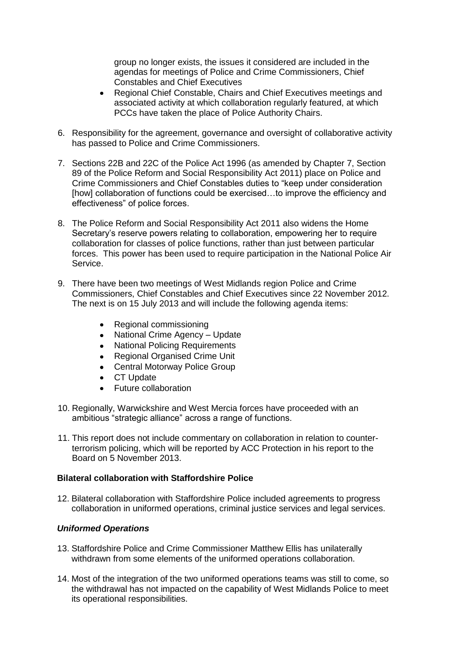group no longer exists, the issues it considered are included in the agendas for meetings of Police and Crime Commissioners, Chief Constables and Chief Executives

- Regional Chief Constable, Chairs and Chief Executives meetings and associated activity at which collaboration regularly featured, at which PCCs have taken the place of Police Authority Chairs.
- 6. Responsibility for the agreement, governance and oversight of collaborative activity has passed to Police and Crime Commissioners.
- 7. Sections 22B and 22C of the Police Act 1996 (as amended by Chapter 7, Section 89 of the Police Reform and Social Responsibility Act 2011) place on Police and Crime Commissioners and Chief Constables duties to "keep under consideration [how] collaboration of functions could be exercised...to improve the efficiency and effectiveness" of police forces.
- 8. The Police Reform and Social Responsibility Act 2011 also widens the Home Secretary's reserve powers relating to collaboration, empowering her to require collaboration for classes of police functions, rather than just between particular forces. This power has been used to require participation in the National Police Air Service.
- 9. There have been two meetings of West Midlands region Police and Crime Commissioners, Chief Constables and Chief Executives since 22 November 2012. The next is on 15 July 2013 and will include the following agenda items:
	- Regional commissioning
	- National Crime Agency Update  $\bullet$
	- National Policing Requirements
	- Regional Organised Crime Unit
	- Central Motorway Police Group
	- CT Update
	- **•** Future collaboration
- 10. Regionally, Warwickshire and West Mercia forces have proceeded with an ambitious "strategic alliance" across a range of functions.
- 11. This report does not include commentary on collaboration in relation to counterterrorism policing, which will be reported by ACC Protection in his report to the Board on 5 November 2013.

#### **Bilateral collaboration with Staffordshire Police**

12. Bilateral collaboration with Staffordshire Police included agreements to progress collaboration in uniformed operations, criminal justice services and legal services.

#### *Uniformed Operations*

- 13. Staffordshire Police and Crime Commissioner Matthew Ellis has unilaterally withdrawn from some elements of the uniformed operations collaboration.
- 14. Most of the integration of the two uniformed operations teams was still to come, so the withdrawal has not impacted on the capability of West Midlands Police to meet its operational responsibilities.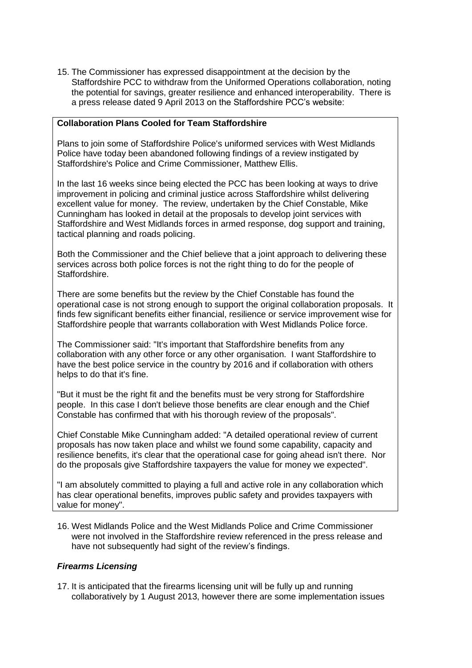15. The Commissioner has expressed disappointment at the decision by the Staffordshire PCC to withdraw from the Uniformed Operations collaboration, noting the potential for savings, greater resilience and enhanced interoperability. There is a press release dated 9 April 2013 on the Staffordshire PCC's website:

## **Collaboration Plans Cooled for Team Staffordshire**

Plans to join some of Staffordshire Police's uniformed services with West Midlands Police have today been abandoned following findings of a review instigated by Staffordshire's Police and Crime Commissioner, Matthew Ellis.

In the last 16 weeks since being elected the PCC has been looking at ways to drive improvement in policing and criminal justice across Staffordshire whilst delivering excellent value for money. The review, undertaken by the Chief Constable, Mike Cunningham has looked in detail at the proposals to develop joint services with Staffordshire and West Midlands forces in armed response, dog support and training, tactical planning and roads policing.

Both the Commissioner and the Chief believe that a joint approach to delivering these services across both police forces is not the right thing to do for the people of Staffordshire.

There are some benefits but the review by the Chief Constable has found the operational case is not strong enough to support the original collaboration proposals. It finds few significant benefits either financial, resilience or service improvement wise for Staffordshire people that warrants collaboration with West Midlands Police force.

The Commissioner said: "It's important that Staffordshire benefits from any collaboration with any other force or any other organisation. I want Staffordshire to have the best police service in the country by 2016 and if collaboration with others helps to do that it's fine.

"But it must be the right fit and the benefits must be very strong for Staffordshire people. In this case I don't believe those benefits are clear enough and the Chief Constable has confirmed that with his thorough review of the proposals".

Chief Constable Mike Cunningham added: "A detailed operational review of current proposals has now taken place and whilst we found some capability, capacity and resilience benefits, it's clear that the operational case for going ahead isn't there. Nor do the proposals give Staffordshire taxpayers the value for money we expected".

"I am absolutely committed to playing a full and active role in any collaboration which has clear operational benefits, improves public safety and provides taxpayers with value for money".

16. West Midlands Police and the West Midlands Police and Crime Commissioner were not involved in the Staffordshire review referenced in the press release and have not subsequently had sight of the review's findings.

## *Firearms Licensing*

17. It is anticipated that the firearms licensing unit will be fully up and running collaboratively by 1 August 2013, however there are some implementation issues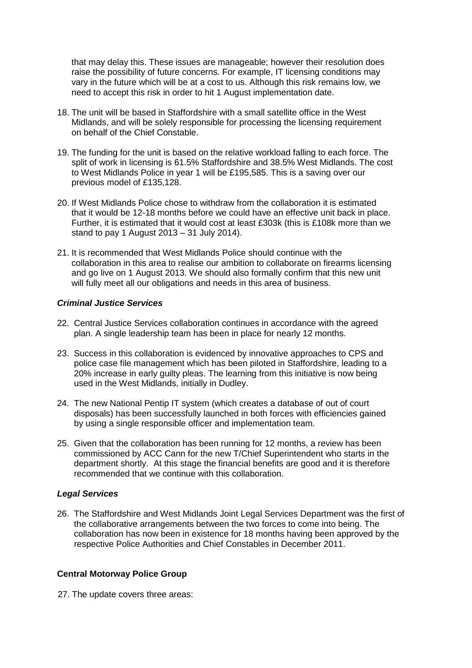that may delay this. These issues are manageable; however their resolution does raise the possibility of future concerns. For example, IT licensing conditions may vary in the future which will be at a cost to us. Although this risk remains low, we need to accept this risk in order to hit 1 August implementation date.

- 18. The unit will be based in Staffordshire with a small satellite office in the West Midlands, and will be solely responsible for processing the licensing requirement on behalf of the Chief Constable.
- 19. The funding for the unit is based on the relative workload falling to each force. The split of work in licensing is 61.5% Staffordshire and 38.5% West Midlands. The cost to West Midlands Police in year 1 will be £195,585. This is a saving over our previous model of £135,128.
- 20. If West Midlands Police chose to withdraw from the collaboration it is estimated that it would be 12-18 months before we could have an effective unit back in place. Further, it is estimated that it would cost at least £303k (this is £108k more than we stand to pay 1 August 2013 – 31 July 2014).
- 21. It is recommended that West Midlands Police should continue with the collaboration in this area to realise our ambition to collaborate on firearms licensing and go live on 1 August 2013. We should also formally confirm that this new unit will fully meet all our obligations and needs in this area of business.

#### *Criminal Justice Services*

- 22. Central Justice Services collaboration continues in accordance with the agreed plan. A single leadership team has been in place for nearly 12 months.
- 23. Success in this collaboration is evidenced by innovative approaches to CPS and police case file management which has been piloted in Staffordshire, leading to a 20% increase in early guilty pleas. The learning from this initiative is now being used in the West Midlands, initially in Dudley.
- 24. The new National Pentip IT system (which creates a database of out of court disposals) has been successfully launched in both forces with efficiencies gained by using a single responsible officer and implementation team.
- 25. Given that the collaboration has been running for 12 months, a review has been commissioned by ACC Cann for the new T/Chief Superintendent who starts in the department shortly. At this stage the financial benefits are good and it is therefore recommended that we continue with this collaboration.

#### *Legal Services*

26. The Staffordshire and West Midlands Joint Legal Services Department was the first of the collaborative arrangements between the two forces to come into being. The collaboration has now been in existence for 18 months having been approved by the respective Police Authorities and Chief Constables in December 2011.

#### **Central Motorway Police Group**

27. The update covers three areas: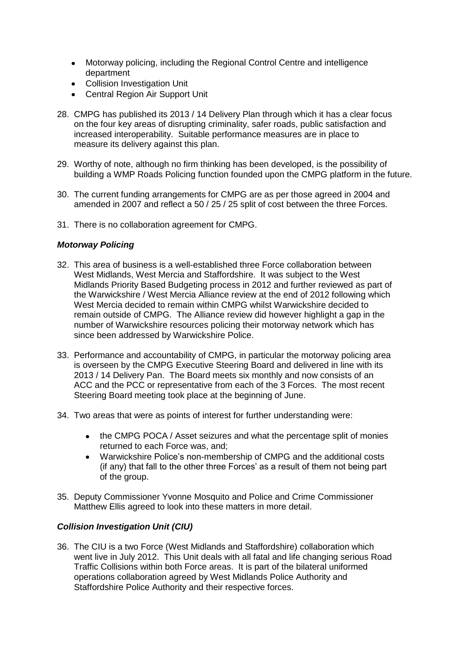- Motorway policing, including the Regional Control Centre and intelligence department
- Collision Investigation Unit
- Central Region Air Support Unit
- 28. CMPG has published its 2013 / 14 Delivery Plan through which it has a clear focus on the four key areas of disrupting criminality, safer roads, public satisfaction and increased interoperability. Suitable performance measures are in place to measure its delivery against this plan.
- 29. Worthy of note, although no firm thinking has been developed, is the possibility of building a WMP Roads Policing function founded upon the CMPG platform in the future.
- 30. The current funding arrangements for CMPG are as per those agreed in 2004 and amended in 2007 and reflect a 50 / 25 / 25 split of cost between the three Forces.
- 31. There is no collaboration agreement for CMPG.

## *Motorway Policing*

- 32. This area of business is a well-established three Force collaboration between West Midlands, West Mercia and Staffordshire. It was subject to the West Midlands Priority Based Budgeting process in 2012 and further reviewed as part of the Warwickshire / West Mercia Alliance review at the end of 2012 following which West Mercia decided to remain within CMPG whilst Warwickshire decided to remain outside of CMPG. The Alliance review did however highlight a gap in the number of Warwickshire resources policing their motorway network which has since been addressed by Warwickshire Police.
- 33. Performance and accountability of CMPG, in particular the motorway policing area is overseen by the CMPG Executive Steering Board and delivered in line with its 2013 / 14 Delivery Pan. The Board meets six monthly and now consists of an ACC and the PCC or representative from each of the 3 Forces. The most recent Steering Board meeting took place at the beginning of June.
- 34. Two areas that were as points of interest for further understanding were:
	- the CMPG POCA / Asset seizures and what the percentage split of monies returned to each Force was, and;
	- Warwickshire Police's non-membership of CMPG and the additional costs (if any) that fall to the other three Forces' as a result of them not being part of the group.
- 35. Deputy Commissioner Yvonne Mosquito and Police and Crime Commissioner Matthew Ellis agreed to look into these matters in more detail.

## *Collision Investigation Unit (CIU)*

36. The CIU is a two Force (West Midlands and Staffordshire) collaboration which went live in July 2012. This Unit deals with all fatal and life changing serious Road Traffic Collisions within both Force areas. It is part of the bilateral uniformed operations collaboration agreed by West Midlands Police Authority and Staffordshire Police Authority and their respective forces.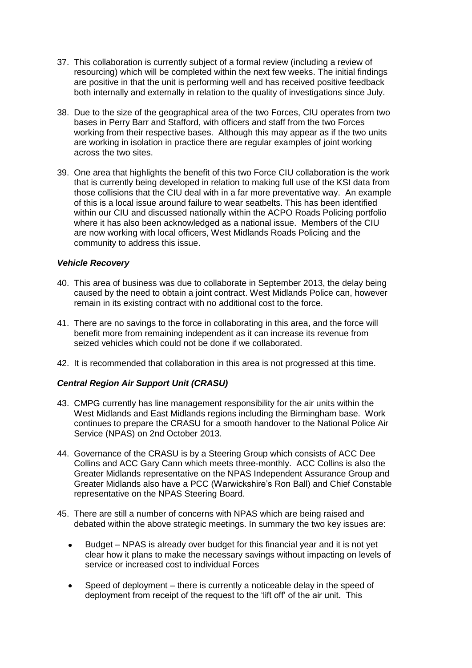- 37. This collaboration is currently subject of a formal review (including a review of resourcing) which will be completed within the next few weeks. The initial findings are positive in that the unit is performing well and has received positive feedback both internally and externally in relation to the quality of investigations since July.
- 38. Due to the size of the geographical area of the two Forces, CIU operates from two bases in Perry Barr and Stafford, with officers and staff from the two Forces working from their respective bases. Although this may appear as if the two units are working in isolation in practice there are regular examples of joint working across the two sites.
- 39. One area that highlights the benefit of this two Force CIU collaboration is the work that is currently being developed in relation to making full use of the KSI data from those collisions that the CIU deal with in a far more preventative way. An example of this is a local issue around failure to wear seatbelts. This has been identified within our CIU and discussed nationally within the ACPO Roads Policing portfolio where it has also been acknowledged as a national issue. Members of the CIU are now working with local officers, West Midlands Roads Policing and the community to address this issue.

## *Vehicle Recovery*

- 40. This area of business was due to collaborate in September 2013, the delay being caused by the need to obtain a joint contract. West Midlands Police can, however remain in its existing contract with no additional cost to the force.
- 41. There are no savings to the force in collaborating in this area, and the force will benefit more from remaining independent as it can increase its revenue from seized vehicles which could not be done if we collaborated.
- 42. It is recommended that collaboration in this area is not progressed at this time.

## *Central Region Air Support Unit (CRASU)*

- 43. CMPG currently has line management responsibility for the air units within the West Midlands and East Midlands regions including the Birmingham base. Work continues to prepare the CRASU for a smooth handover to the National Police Air Service (NPAS) on 2nd October 2013.
- 44. Governance of the CRASU is by a Steering Group which consists of ACC Dee Collins and ACC Gary Cann which meets three-monthly. ACC Collins is also the Greater Midlands representative on the NPAS Independent Assurance Group and Greater Midlands also have a PCC (Warwickshire's Ron Ball) and Chief Constable representative on the NPAS Steering Board.
- 45. There are still a number of concerns with NPAS which are being raised and debated within the above strategic meetings. In summary the two key issues are:
	- Budget NPAS is already over budget for this financial year and it is not yet clear how it plans to make the necessary savings without impacting on levels of service or increased cost to individual Forces
	- Speed of deployment there is currently a noticeable delay in the speed of deployment from receipt of the request to the 'lift off' of the air unit. This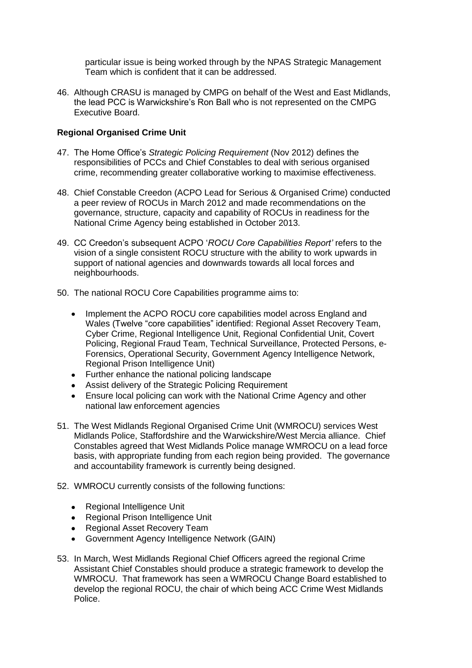particular issue is being worked through by the NPAS Strategic Management Team which is confident that it can be addressed.

46. Although CRASU is managed by CMPG on behalf of the West and East Midlands, the lead PCC is Warwickshire's Ron Ball who is not represented on the CMPG Executive Board.

## **Regional Organised Crime Unit**

- 47. The Home Office's *Strategic Policing Requirement* (Nov 2012) defines the responsibilities of PCCs and Chief Constables to deal with serious organised crime, recommending greater collaborative working to maximise effectiveness.
- 48. Chief Constable Creedon (ACPO Lead for Serious & Organised Crime) conducted a peer review of ROCUs in March 2012 and made recommendations on the governance, structure, capacity and capability of ROCUs in readiness for the National Crime Agency being established in October 2013.
- 49. CC Creedon's subsequent ACPO '*ROCU Core Capabilities Report'* refers to the vision of a single consistent ROCU structure with the ability to work upwards in support of national agencies and downwards towards all local forces and neighbourhoods.
- 50. The national ROCU Core Capabilities programme aims to:
	- Implement the ACPO ROCU core capabilities model across England and  $\bullet$ Wales (Twelve "core capabilities" identified: Regional Asset Recovery Team, Cyber Crime, Regional Intelligence Unit, Regional Confidential Unit, Covert Policing, Regional Fraud Team, Technical Surveillance, Protected Persons, e-Forensics, Operational Security, Government Agency Intelligence Network, Regional Prison Intelligence Unit)
	- Further enhance the national policing landscape
	- Assist delivery of the Strategic Policing Requirement
	- Ensure local policing can work with the National Crime Agency and other national law enforcement agencies
- 51. The West Midlands Regional Organised Crime Unit (WMROCU) services West Midlands Police, Staffordshire and the Warwickshire/West Mercia alliance. Chief Constables agreed that West Midlands Police manage WMROCU on a lead force basis, with appropriate funding from each region being provided. The governance and accountability framework is currently being designed.
- 52. WMROCU currently consists of the following functions:
	- Regional Intelligence Unit
	- Regional Prison Intelligence Unit
	- Regional Asset Recovery Team
	- Government Agency Intelligence Network (GAIN)
- 53. In March, West Midlands Regional Chief Officers agreed the regional Crime Assistant Chief Constables should produce a strategic framework to develop the WMROCU. That framework has seen a WMROCU Change Board established to develop the regional ROCU, the chair of which being ACC Crime West Midlands Police.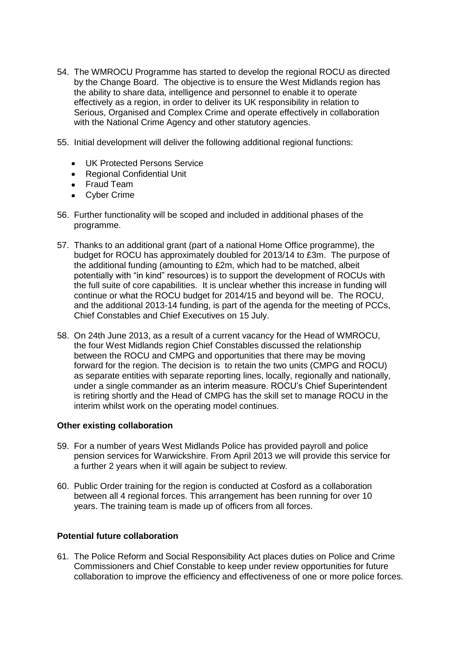- 54. The WMROCU Programme has started to develop the regional ROCU as directed by the Change Board. The objective is to ensure the West Midlands region has the ability to share data, intelligence and personnel to enable it to operate effectively as a region, in order to deliver its UK responsibility in relation to Serious, Organised and Complex Crime and operate effectively in collaboration with the National Crime Agency and other statutory agencies.
- 55. Initial development will deliver the following additional regional functions:
	- **UK Protected Persons Service**
	- Regional Confidential Unit
	- Fraud Team
	- Cyber Crime
- 56. Further functionality will be scoped and included in additional phases of the programme.
- 57. Thanks to an additional grant (part of a national Home Office programme), the budget for ROCU has approximately doubled for 2013/14 to £3m. The purpose of the additional funding (amounting to £2m, which had to be matched, albeit potentially with "in kind" resources) is to support the development of ROCUs with the full suite of core capabilities. It is unclear whether this increase in funding will continue or what the ROCU budget for 2014/15 and beyond will be. The ROCU, and the additional 2013-14 funding, is part of the agenda for the meeting of PCCs, Chief Constables and Chief Executives on 15 July.
- 58. On 24th June 2013, as a result of a current vacancy for the Head of WMROCU, the four West Midlands region Chief Constables discussed the relationship between the ROCU and CMPG and opportunities that there may be moving forward for the region. The decision is to retain the two units (CMPG and ROCU) as separate entities with separate reporting lines, locally, regionally and nationally, under a single commander as an interim measure. ROCU's Chief Superintendent is retiring shortly and the Head of CMPG has the skill set to manage ROCU in the interim whilst work on the operating model continues.

#### **Other existing collaboration**

- 59. For a number of years West Midlands Police has provided payroll and police pension services for Warwickshire. From April 2013 we will provide this service for a further 2 years when it will again be subject to review.
- 60. Public Order training for the region is conducted at Cosford as a collaboration between all 4 regional forces. This arrangement has been running for over 10 years. The training team is made up of officers from all forces.

#### **Potential future collaboration**

61. The Police Reform and Social Responsibility Act places duties on Police and Crime Commissioners and Chief Constable to keep under review opportunities for future collaboration to improve the efficiency and effectiveness of one or more police forces.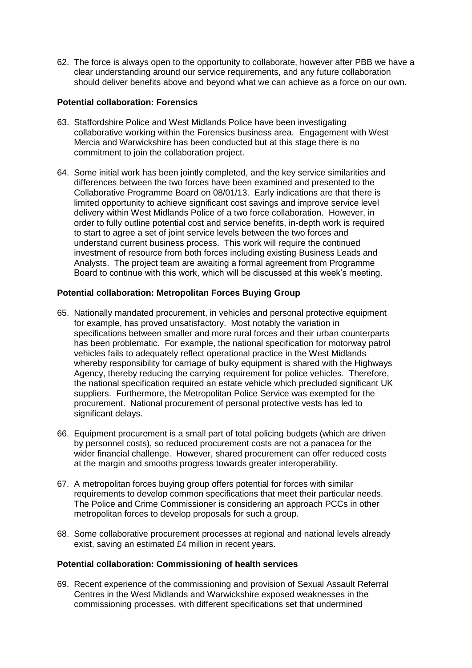62. The force is always open to the opportunity to collaborate, however after PBB we have a clear understanding around our service requirements, and any future collaboration should deliver benefits above and beyond what we can achieve as a force on our own.

#### **Potential collaboration: Forensics**

- 63. Staffordshire Police and West Midlands Police have been investigating collaborative working within the Forensics business area. Engagement with West Mercia and Warwickshire has been conducted but at this stage there is no commitment to join the collaboration project.
- 64. Some initial work has been jointly completed, and the key service similarities and differences between the two forces have been examined and presented to the Collaborative Programme Board on 08/01/13. Early indications are that there is limited opportunity to achieve significant cost savings and improve service level delivery within West Midlands Police of a two force collaboration. However, in order to fully outline potential cost and service benefits, in-depth work is required to start to agree a set of joint service levels between the two forces and understand current business process. This work will require the continued investment of resource from both forces including existing Business Leads and Analysts. The project team are awaiting a formal agreement from Programme Board to continue with this work, which will be discussed at this week's meeting.

#### **Potential collaboration: Metropolitan Forces Buying Group**

- 65. Nationally mandated procurement, in vehicles and personal protective equipment for example, has proved unsatisfactory. Most notably the variation in specifications between smaller and more rural forces and their urban counterparts has been problematic. For example, the national specification for motorway patrol vehicles fails to adequately reflect operational practice in the West Midlands whereby responsibility for carriage of bulky equipment is shared with the Highways Agency, thereby reducing the carrying requirement for police vehicles. Therefore, the national specification required an estate vehicle which precluded significant UK suppliers. Furthermore, the Metropolitan Police Service was exempted for the procurement. National procurement of personal protective vests has led to significant delays.
- 66. Equipment procurement is a small part of total policing budgets (which are driven by personnel costs), so reduced procurement costs are not a panacea for the wider financial challenge. However, shared procurement can offer reduced costs at the margin and smooths progress towards greater interoperability.
- 67. A metropolitan forces buying group offers potential for forces with similar requirements to develop common specifications that meet their particular needs. The Police and Crime Commissioner is considering an approach PCCs in other metropolitan forces to develop proposals for such a group.
- 68. Some collaborative procurement processes at regional and national levels already exist, saving an estimated £4 million in recent years.

## **Potential collaboration: Commissioning of health services**

69. Recent experience of the commissioning and provision of Sexual Assault Referral Centres in the West Midlands and Warwickshire exposed weaknesses in the commissioning processes, with different specifications set that undermined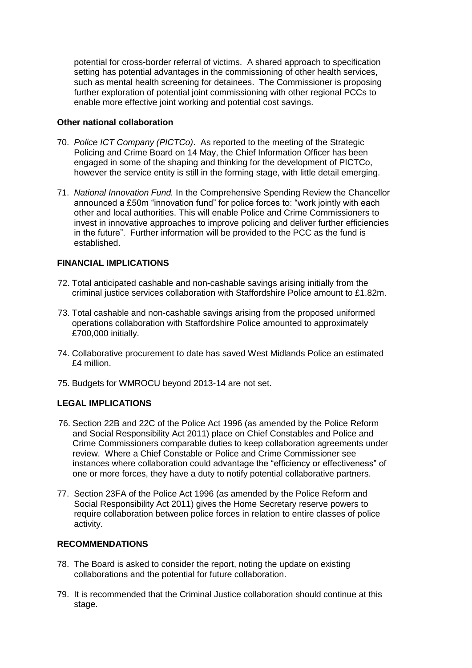potential for cross-border referral of victims. A shared approach to specification setting has potential advantages in the commissioning of other health services, such as mental health screening for detainees. The Commissioner is proposing further exploration of potential joint commissioning with other regional PCCs to enable more effective joint working and potential cost savings.

#### **Other national collaboration**

- 70. *Police ICT Company (PICTCo)*. As reported to the meeting of the Strategic Policing and Crime Board on 14 May, the Chief Information Officer has been engaged in some of the shaping and thinking for the development of PICTCo, however the service entity is still in the forming stage, with little detail emerging.
- 71. *National Innovation Fund.* In the Comprehensive Spending Review the Chancellor announced a £50m "innovation fund" for police forces to: "work jointly with each other and local authorities. This will enable Police and Crime Commissioners to invest in innovative approaches to improve policing and deliver further efficiencies in the future". Further information will be provided to the PCC as the fund is established.

## **FINANCIAL IMPLICATIONS**

- 72. Total anticipated cashable and non-cashable savings arising initially from the criminal justice services collaboration with Staffordshire Police amount to £1.82m.
- 73. Total cashable and non-cashable savings arising from the proposed uniformed operations collaboration with Staffordshire Police amounted to approximately £700,000 initially.
- 74. Collaborative procurement to date has saved West Midlands Police an estimated £4 million.
- 75. Budgets for WMROCU beyond 2013-14 are not set.

## **LEGAL IMPLICATIONS**

- 76. Section 22B and 22C of the Police Act 1996 (as amended by the Police Reform and Social Responsibility Act 2011) place on Chief Constables and Police and Crime Commissioners comparable duties to keep collaboration agreements under review. Where a Chief Constable or Police and Crime Commissioner see instances where collaboration could advantage the "efficiency or effectiveness" of one or more forces, they have a duty to notify potential collaborative partners.
- 77. Section 23FA of the Police Act 1996 (as amended by the Police Reform and Social Responsibility Act 2011) gives the Home Secretary reserve powers to require collaboration between police forces in relation to entire classes of police activity.

## **RECOMMENDATIONS**

- 78. The Board is asked to consider the report, noting the update on existing collaborations and the potential for future collaboration.
- 79. It is recommended that the Criminal Justice collaboration should continue at this stage.